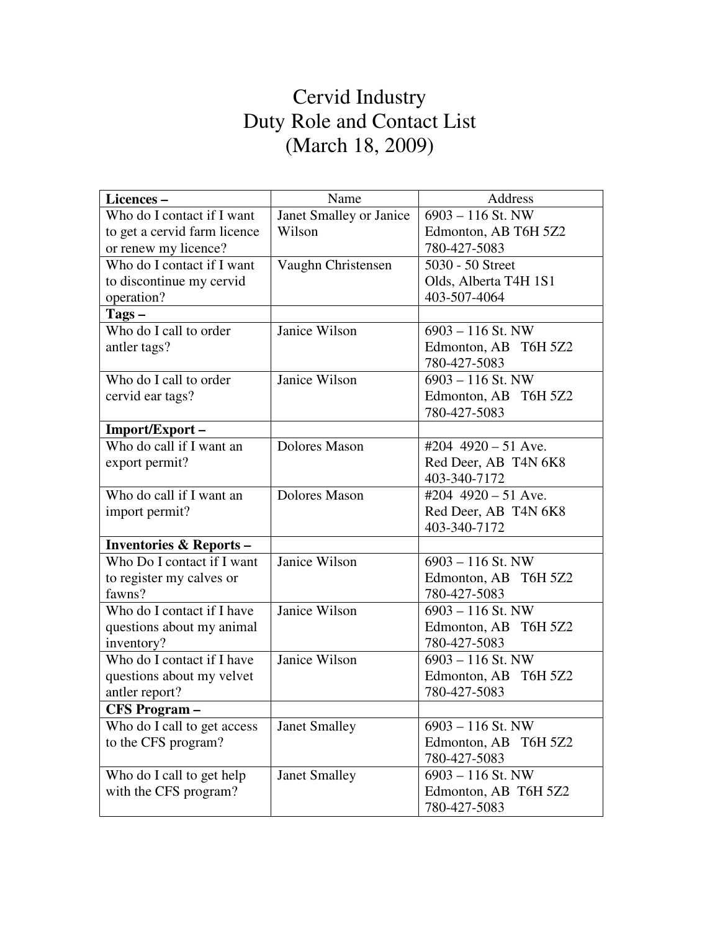## Cervid Industry Duty Role and Contact List (March 18, 2009)

| Licences-                         | Name                    | Address                 |
|-----------------------------------|-------------------------|-------------------------|
| Who do I contact if I want        | Janet Smalley or Janice | $6903 - 116$ St. NW     |
| to get a cervid farm licence      | Wilson                  | Edmonton, AB T6H 5Z2    |
| or renew my licence?              |                         | 780-427-5083            |
| Who do I contact if I want        | Vaughn Christensen      | 5030 - 50 Street        |
| to discontinue my cervid          |                         | Olds, Alberta T4H 1S1   |
| operation?                        |                         | 403-507-4064            |
| $\text{Tags} -$                   |                         |                         |
| Who do I call to order            | Janice Wilson           | $6903 - 116$ St. NW     |
| antler tags?                      |                         | Edmonton, AB T6H 5Z2    |
|                                   |                         | 780-427-5083            |
| Who do I call to order            | Janice Wilson           | $6903 - 116$ St. NW     |
| cervid ear tags?                  |                         | Edmonton, AB T6H 5Z2    |
|                                   |                         | 780-427-5083            |
| Import/Export-                    |                         |                         |
| Who do call if I want an          | <b>Dolores Mason</b>    | #204 $4920 - 51$ Ave.   |
| export permit?                    |                         | Red Deer, AB T4N 6K8    |
|                                   |                         | 403-340-7172            |
| Who do call if I want an          | <b>Dolores Mason</b>    | #204 $4920 - 51$ Ave.   |
| import permit?                    |                         | Red Deer, AB T4N 6K8    |
|                                   |                         | 403-340-7172            |
| <b>Inventories &amp; Reports-</b> |                         |                         |
| Who Do I contact if I want        | Janice Wilson           | $6903 - 116$ St. NW     |
| to register my calves or          |                         | Edmonton, AB T6H 5Z2    |
| fawns?                            |                         | 780-427-5083            |
| Who do I contact if I have        | Janice Wilson           | 6903 - 116 St. NW       |
| questions about my animal         |                         | Edmonton, AB T6H 5Z2    |
| inventory?                        |                         | 780-427-5083            |
| Who do I contact if I have        | Janice Wilson           | $6903 - 116$ St. NW     |
| questions about my velvet         |                         | Edmonton, AB T6H 5Z2    |
| antler report?                    |                         | 780-427-5083            |
| <b>CFS Program-</b>               |                         |                         |
| Who do I call to get access       | <b>Janet Smalley</b>    | $6903 - 116$ St. NW     |
| to the CFS program?               |                         | Edmonton, AB<br>T6H 5Z2 |
|                                   |                         | 780-427-5083            |
| Who do I call to get help         | <b>Janet Smalley</b>    | $6903 - 116$ St. NW     |
| with the CFS program?             |                         | Edmonton, AB T6H 5Z2    |
|                                   |                         | 780-427-5083            |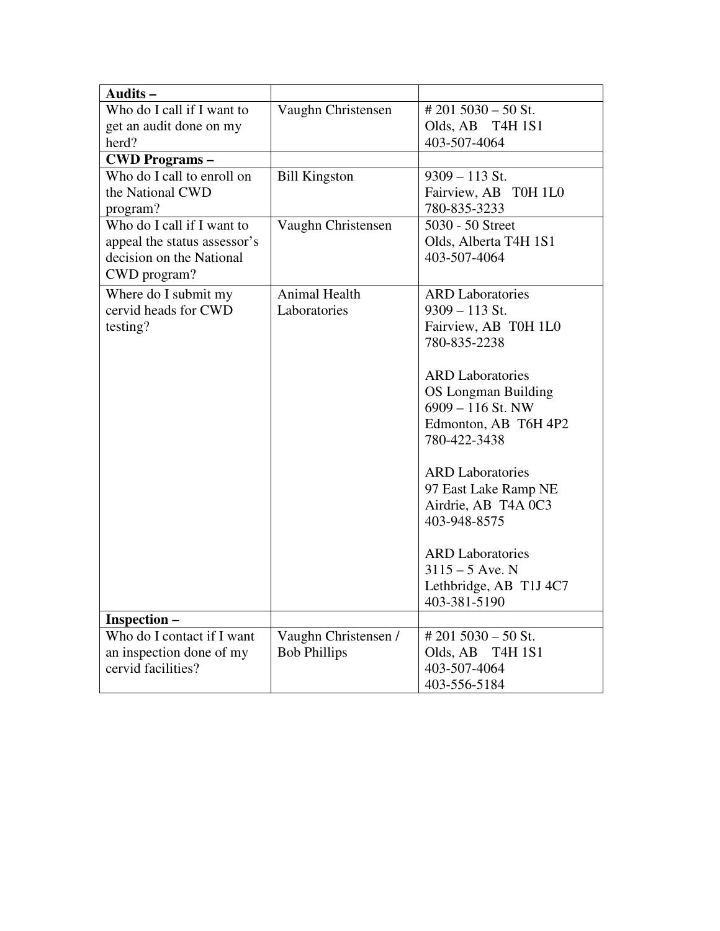| Audits-                                           |                      |                                              |
|---------------------------------------------------|----------------------|----------------------------------------------|
| Who do I call if I want to                        | Vaughn Christensen   | $# 201 5030 - 50$ St.                        |
| get an audit done on my                           |                      | Olds, AB T4H 1S1                             |
| herd?                                             |                      | 403-507-4064                                 |
| <b>CWD Programs -</b>                             |                      |                                              |
| Who do I call to enroll on                        | <b>Bill Kingston</b> | $9309 - 113$ St.                             |
| the National CWD                                  |                      | Fairview, AB T0H 1L0                         |
| program?                                          |                      | 780-835-3233                                 |
| Who do I call if I want to                        | Vaughn Christensen   | 5030 - 50 Street                             |
| appeal the status assessor's                      |                      | Olds, Alberta T4H 1S1                        |
| decision on the National                          |                      | 403-507-4064                                 |
| CWD program?                                      |                      |                                              |
| Where do I submit my                              | <b>Animal Health</b> | <b>ARD Laboratories</b>                      |
| cervid heads for CWD                              | Laboratories         | $9309 - 113$ St.                             |
| testing?                                          |                      | Fairview, AB T0H 1L0                         |
|                                                   |                      | 780-835-2238                                 |
|                                                   |                      |                                              |
|                                                   |                      | <b>ARD</b> Laboratories                      |
|                                                   |                      | OS Longman Building                          |
|                                                   |                      | $6909 - 116$ St. NW                          |
|                                                   |                      | Edmonton, AB T6H 4P2                         |
|                                                   |                      | 780-422-3438                                 |
|                                                   |                      |                                              |
|                                                   |                      | <b>ARD</b> Laboratories                      |
|                                                   |                      | 97 East Lake Ramp NE                         |
|                                                   |                      | Airdrie, AB T4A 0C3                          |
|                                                   |                      | 403-948-8575                                 |
|                                                   |                      |                                              |
|                                                   |                      | <b>ARD</b> Laboratories<br>$3115 - 5$ Ave. N |
|                                                   |                      |                                              |
|                                                   |                      | Lethbridge, AB T1J 4C7<br>403-381-5190       |
|                                                   |                      |                                              |
| <b>Inspection -</b><br>Who do I contact if I want | Vaughn Christensen / | #201 5030 - 50 St.                           |
| an inspection done of my                          | <b>Bob Phillips</b>  | Olds, AB<br><b>T4H 1S1</b>                   |
| cervid facilities?                                |                      | 403-507-4064                                 |
|                                                   |                      | 403-556-5184                                 |
|                                                   |                      |                                              |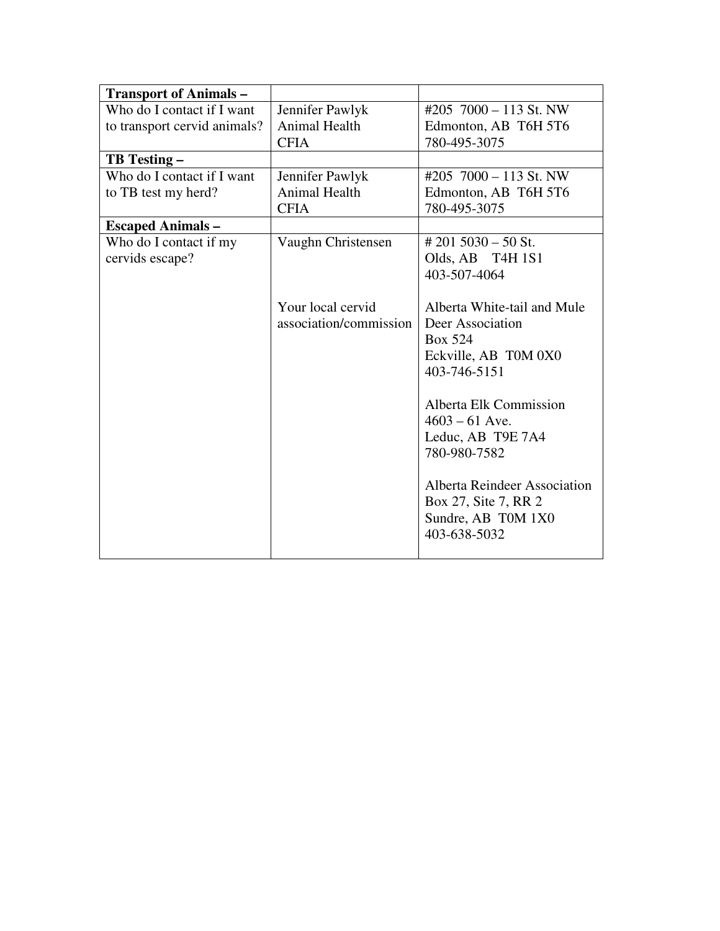| <b>Transport of Animals -</b> |                        |                                     |
|-------------------------------|------------------------|-------------------------------------|
| Who do I contact if I want    | Jennifer Pawlyk        | #205 $7000 - 113$ St. NW            |
| to transport cervid animals?  | Animal Health          | Edmonton, AB T6H 5T6                |
|                               | <b>CFIA</b>            | 780-495-3075                        |
| <b>TB</b> Testing –           |                        |                                     |
| Who do I contact if I want    | Jennifer Pawlyk        | #205 $7000 - 113$ St. NW            |
| to TB test my herd?           | <b>Animal Health</b>   | Edmonton, AB T6H 5T6                |
|                               | <b>CFIA</b>            | 780-495-3075                        |
| <b>Escaped Animals -</b>      |                        |                                     |
| Who do I contact if my        | Vaughn Christensen     | $\# 201 5030 - 50$ St.              |
| cervids escape?               |                        | Olds, AB T4H 1S1                    |
|                               |                        | 403-507-4064                        |
|                               |                        |                                     |
|                               | Your local cervid      | Alberta White-tail and Mule         |
|                               | association/commission | Deer Association                    |
|                               |                        | Box 524                             |
|                               |                        | Eckville, AB T0M 0X0                |
|                               |                        | 403-746-5151                        |
|                               |                        |                                     |
|                               |                        | Alberta Elk Commission              |
|                               |                        | $4603 - 61$ Ave.                    |
|                               |                        | Leduc, AB T9E 7A4                   |
|                               |                        | 780-980-7582                        |
|                               |                        |                                     |
|                               |                        | <b>Alberta Reindeer Association</b> |
|                               |                        | Box 27, Site 7, RR 2                |
|                               |                        | Sundre, AB T0M 1X0                  |
|                               |                        | 403-638-5032                        |
|                               |                        |                                     |